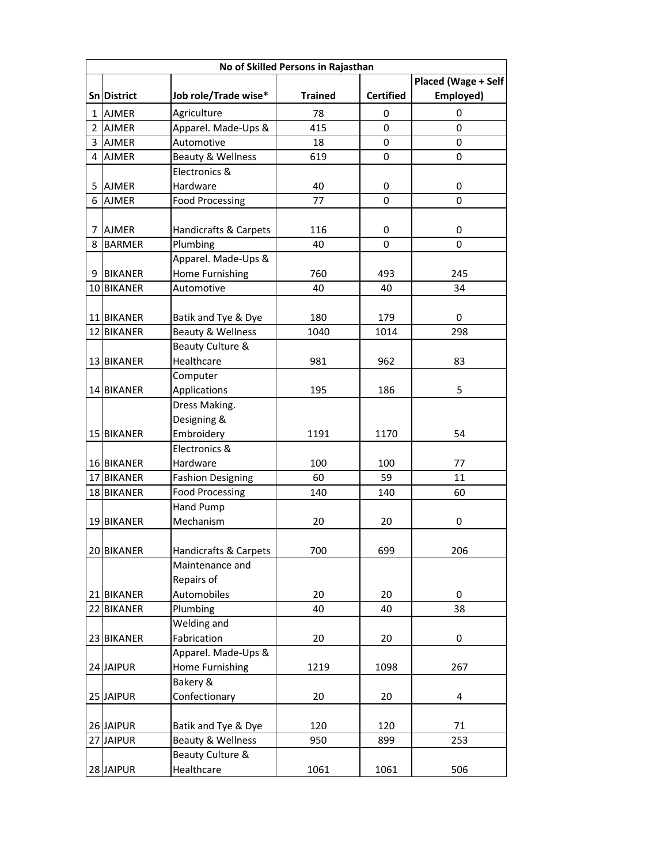|                | No of Skilled Persons in Rajasthan |                              |                |                  |                     |  |  |
|----------------|------------------------------------|------------------------------|----------------|------------------|---------------------|--|--|
|                |                                    |                              |                |                  | Placed (Wage + Self |  |  |
|                | Sn District                        | Job role/Trade wise*         | <b>Trained</b> | <b>Certified</b> | Employed)           |  |  |
| 1 <sup>1</sup> | <b>AJMER</b>                       | Agriculture                  | 78             | 0                | 0                   |  |  |
| 2 <sup>1</sup> | <b>AJMER</b>                       | Apparel. Made-Ups &          | 415            | 0                | 0                   |  |  |
|                | 3 AJMER                            | Automotive                   | 18             | 0                | 0                   |  |  |
|                | 4 AJMER                            | <b>Beauty &amp; Wellness</b> | 619            | 0                | 0                   |  |  |
|                |                                    | Electronics &                |                |                  |                     |  |  |
|                | 5 AJMER                            | Hardware                     | 40             | 0                | 0                   |  |  |
|                | 6 AJMER                            | <b>Food Processing</b>       | 77             | $\Omega$         | 0                   |  |  |
|                |                                    |                              |                |                  |                     |  |  |
| 7              | <b>AJMER</b>                       | Handicrafts & Carpets        | 116            | 0                | 0                   |  |  |
|                | 8 BARMER                           | Plumbing                     | 40             | 0                | $\Omega$            |  |  |
|                |                                    | Apparel. Made-Ups &          |                |                  |                     |  |  |
|                | 9 BIKANER                          | Home Furnishing              | 760            | 493              | 245                 |  |  |
|                | 10 BIKANER                         | Automotive                   | 40             | 40               | 34                  |  |  |
|                |                                    |                              |                |                  |                     |  |  |
|                | 11 BIKANER                         | Batik and Tye & Dye          | 180            | 179              | 0                   |  |  |
|                | 12 BIKANER                         | Beauty & Wellness            | 1040           | 1014             | 298                 |  |  |
|                |                                    | Beauty Culture &             |                |                  |                     |  |  |
|                | <b>13 BIKANER</b>                  | Healthcare                   | 981            | 962              | 83                  |  |  |
|                |                                    | Computer                     |                |                  |                     |  |  |
|                | 14 BIKANER                         | Applications                 | 195            | 186              | 5                   |  |  |
|                |                                    | Dress Making.                |                |                  |                     |  |  |
|                |                                    | Designing &                  |                |                  |                     |  |  |
|                | 15 BIKANER                         | Embroidery                   | 1191           | 1170             | 54                  |  |  |
|                |                                    | Electronics &                |                |                  |                     |  |  |
|                | 16 BIKANER                         | Hardware                     | 100            | 100              | 77                  |  |  |
|                | 17 BIKANER                         | <b>Fashion Designing</b>     | 60             | 59               | 11                  |  |  |
|                | 18 BIKANER                         | <b>Food Processing</b>       | 140            | 140              | 60                  |  |  |
|                |                                    | Hand Pump                    |                |                  |                     |  |  |
|                | 19 BIKANER                         | Mechanism                    | 20             | 20               | 0                   |  |  |
|                |                                    |                              |                |                  |                     |  |  |
|                | 20 BIKANER                         | Handicrafts & Carpets        | 700            | 699              | 206                 |  |  |
|                |                                    | Maintenance and              |                |                  |                     |  |  |
|                |                                    | Repairs of                   |                |                  |                     |  |  |
|                | 21 BIKANER                         | Automobiles                  | 20             | 20               | 0                   |  |  |
|                | 22 BIKANER                         | Plumbing                     | 40             | 40               | 38                  |  |  |
|                |                                    | Welding and                  |                |                  |                     |  |  |
|                | 23 BIKANER                         | Fabrication                  | 20             | 20               | 0                   |  |  |
|                |                                    | Apparel. Made-Ups &          |                |                  |                     |  |  |
|                | 24 JAIPUR                          | Home Furnishing              | 1219           | 1098             | 267                 |  |  |
|                |                                    | Bakery &                     |                |                  |                     |  |  |
|                | 25 JAIPUR                          | Confectionary                | 20             | 20               | 4                   |  |  |
|                |                                    |                              |                |                  |                     |  |  |
|                | 26 JAIPUR                          | Batik and Tye & Dye          | 120            | 120              | 71                  |  |  |
|                | 27 JAIPUR                          | Beauty & Wellness            | 950            | 899              | 253                 |  |  |
|                |                                    | Beauty Culture &             |                |                  |                     |  |  |
|                | 28 JAIPUR                          | Healthcare                   | 1061           | 1061             | 506                 |  |  |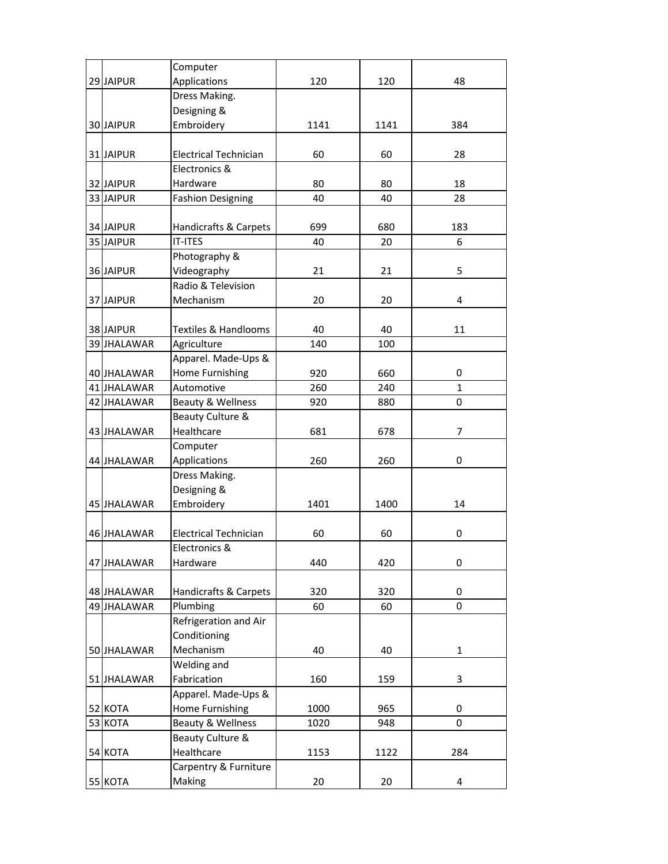|             | Computer                     |      |      |              |
|-------------|------------------------------|------|------|--------------|
| 29 JAIPUR   | Applications                 | 120  | 120  | 48           |
|             | Dress Making.                |      |      |              |
|             | Designing &                  |      |      |              |
| 30 JAIPUR   | Embroidery                   | 1141 | 1141 | 384          |
|             |                              |      |      |              |
| 31 JAIPUR   | <b>Electrical Technician</b> | 60   | 60   | 28           |
|             | Electronics &                |      |      |              |
| 32 JAIPUR   | Hardware                     | 80   | 80   | 18           |
| 33 JAIPUR   | <b>Fashion Designing</b>     | 40   | 40   | 28           |
|             |                              |      |      |              |
| 34 JAIPUR   | Handicrafts & Carpets        | 699  | 680  | 183          |
| 35 JAIPUR   | <b>IT-ITES</b>               | 40   | 20   | 6            |
|             | Photography &                |      |      |              |
| 36 JAIPUR   | Videography                  | 21   | 21   | 5            |
|             | Radio & Television           |      |      |              |
| 37 JAIPUR   | Mechanism                    | 20   | 20   | 4            |
|             |                              |      |      |              |
|             | Textiles & Handlooms         | 40   | 40   |              |
| 38 JAIPUR   |                              |      |      | 11           |
| 39 JHALAWAR | Agriculture                  | 140  | 100  |              |
|             | Apparel. Made-Ups &          |      |      |              |
| 40 JHALAWAR | Home Furnishing              | 920  | 660  | 0            |
| 41 JHALAWAR | Automotive                   | 260  | 240  | $\mathbf{1}$ |
| 42 JHALAWAR | Beauty & Wellness            | 920  | 880  | 0            |
|             | Beauty Culture &             |      |      |              |
| 43 JHALAWAR | Healthcare                   | 681  | 678  | 7            |
|             | Computer                     |      |      |              |
| 44 JHALAWAR | Applications                 | 260  | 260  | 0            |
|             | Dress Making.                |      |      |              |
|             | Designing &                  |      |      |              |
| 45 JHALAWAR | Embroidery                   | 1401 | 1400 | 14           |
|             |                              |      |      |              |
| 46 JHALAWAR | <b>Electrical Technician</b> | 60   | 60   | 0            |
|             | Electronics &                |      |      |              |
| 47 JHALAWAR | Hardware                     | 440  | 420  | 0            |
|             |                              |      |      |              |
| 48 JHALAWAR | Handicrafts & Carpets        | 320  | 320  | 0            |
| 49 JHALAWAR | Plumbing                     | 60   | 60   | 0            |
|             | Refrigeration and Air        |      |      |              |
|             | Conditioning                 |      |      |              |
| 50 JHALAWAR | Mechanism                    | 40   | 40   | 1            |
|             | Welding and                  |      |      |              |
| 51 JHALAWAR | Fabrication                  | 160  | 159  | 3            |
|             | Apparel. Made-Ups &          |      |      |              |
| 52 KOTA     | Home Furnishing              | 1000 | 965  | 0            |
| 53 KOTA     | Beauty & Wellness            | 1020 | 948  | 0            |
|             | Beauty Culture &             |      |      |              |
| 54 KOTA     | Healthcare                   | 1153 | 1122 | 284          |
|             | Carpentry & Furniture        |      |      |              |
| 55 KOTA     | Making                       | 20   | 20   | 4            |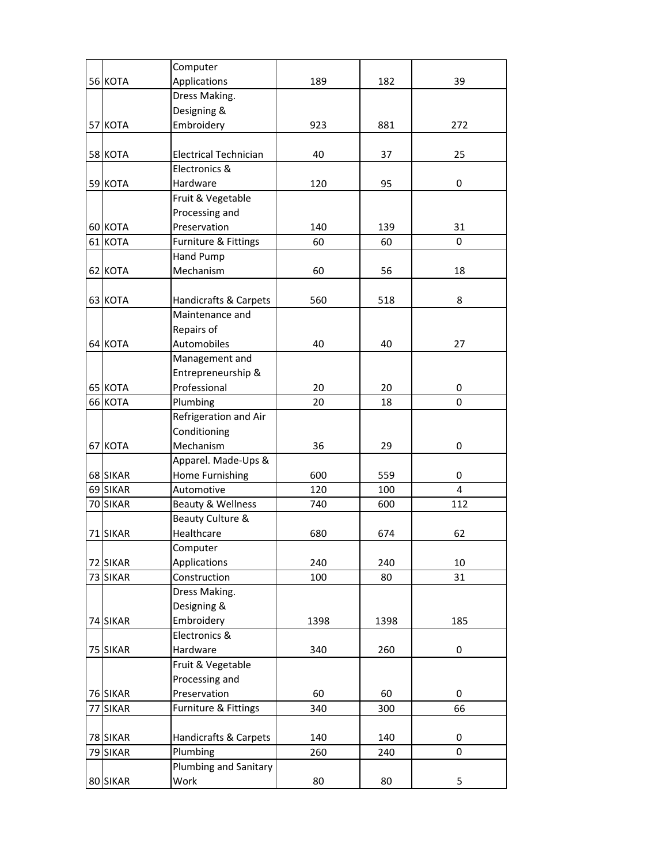|          | Computer                     |      |      |                |
|----------|------------------------------|------|------|----------------|
| 56 KOTA  | Applications                 | 189  | 182  | 39             |
|          | Dress Making.                |      |      |                |
|          | Designing &                  |      |      |                |
| 57 KOTA  | Embroidery                   | 923  | 881  | 272            |
|          |                              |      |      |                |
| 58 KOTA  | <b>Electrical Technician</b> | 40   | 37   | 25             |
|          | Electronics &                |      |      |                |
| 59 KOTA  | Hardware                     | 120  | 95   | 0              |
|          | Fruit & Vegetable            |      |      |                |
|          | Processing and               |      |      |                |
| 60 KOTA  | Preservation                 | 140  | 139  | 31             |
| 61 KOTA  | Furniture & Fittings         | 60   | 60   | 0              |
|          | Hand Pump                    |      |      |                |
| 62 KOTA  | Mechanism                    | 60   | 56   | 18             |
|          |                              |      |      |                |
| 63 KOTA  | Handicrafts & Carpets        | 560  | 518  | 8              |
|          | Maintenance and              |      |      |                |
|          | Repairs of                   |      |      |                |
| 64 KOTA  | Automobiles                  | 40   | 40   | 27             |
|          | Management and               |      |      |                |
|          | Entrepreneurship &           |      |      |                |
| 65 KOTA  | Professional                 | 20   | 20   | 0              |
| 66 KOTA  | Plumbing                     | 20   | 18   | 0              |
|          | Refrigeration and Air        |      |      |                |
|          | Conditioning                 |      |      |                |
| 67 KOTA  | Mechanism                    | 36   | 29   | 0              |
|          | Apparel. Made-Ups &          |      |      |                |
| 68 SIKAR | Home Furnishing              | 600  | 559  | 0              |
| 69 SIKAR | Automotive                   | 120  | 100  | $\overline{4}$ |
| 70 SIKAR | Beauty & Wellness            | 740  | 600  | 112            |
|          | Beauty Culture &             |      |      |                |
| 71 SIKAR | Healthcare                   | 680  | 674  | 62             |
|          | Computer                     |      |      |                |
| 72 SIKAR | Applications                 | 240  | 240  | 10             |
| 73 SIKAR | Construction                 | 100  | 80   | 31             |
|          | Dress Making.                |      |      |                |
|          | Designing &                  |      |      |                |
| 74 SIKAR | Embroidery                   | 1398 | 1398 | 185            |
|          | Electronics &                |      |      |                |
| 75 SIKAR | Hardware                     | 340  | 260  | 0              |
|          | Fruit & Vegetable            |      |      |                |
|          | Processing and               |      |      |                |
| 76 SIKAR | Preservation                 | 60   | 60   | 0              |
| 77 SIKAR | Furniture & Fittings         | 340  | 300  | 66             |
|          |                              |      |      |                |
| 78 SIKAR | Handicrafts & Carpets        | 140  | 140  | 0              |
| 79 SIKAR | Plumbing                     | 260  | 240  | 0              |
|          | <b>Plumbing and Sanitary</b> |      |      |                |
| 80 SIKAR | Work                         | 80   | 80   | 5              |